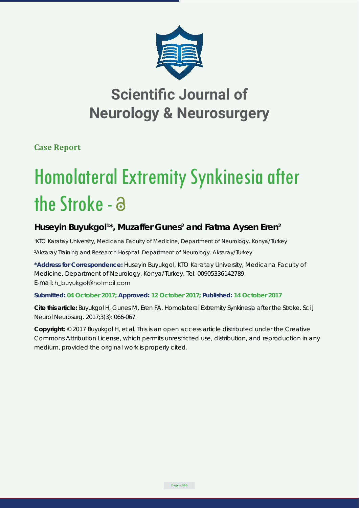

## **Scientific Journal of Neurology & Neurosurgery**

**Case Report**

# Homolateral Extremity Synkinesia after the Stroke - a

### Huseyin Buyukgol<sup>1\*</sup>, Muzaffer Gunes<sup>2</sup> and Fatma Aysen Eren<sup>2</sup>

*1 KTO Karatay University, Medicana Faculty of Medicine, Department of Neurology. Konya/Turkey 2 Aksaray Training and Research Hospital. Department of Neurology. Aksaray/Turkey*

**\*Address for Correspondence:** Huseyin Buyukgol, KTO Karatay University, Medicana Faculty of Medicine, Department of Neurology. Konya/Turkey, Tel: 00905336142789; E-mail: h\_buyukgol@hotmail.com

#### **Submitted: 04 October 2017; Approved: 12 October 2017; Published: 14 October 2017**

**Cite this article:** Buyukgol H, Gunes M, Eren FA. Homolateral Extremity Synkinesia after the Stroke. Sci J Neurol Neurosurg. 2017;3(3): 066-067.

**Copyright:** © 2017 Buyukgol H, et al. This is an open access article distributed under the Creative Commons Attribution License, which permits unrestricted use, distribution, and reproduction in any medium, provided the original work is properly cited.